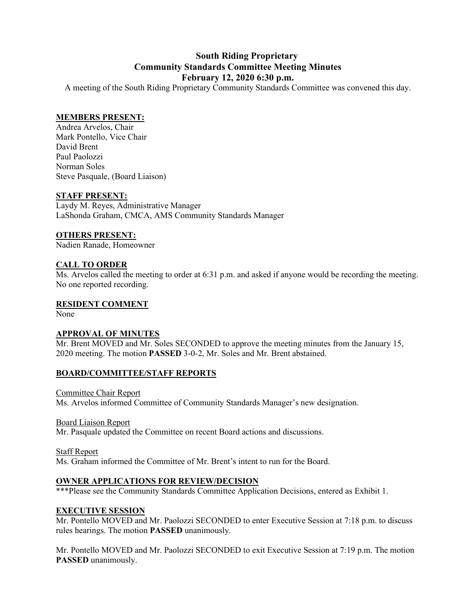# **South Riding Proprietary Community Standards Committee Meeting Minutes February 12, 2020 6:30 p.m.**

A meeting of the South Riding Proprietary Community Standards Committee was convened this day.

# **MEMBERS PRESENT:**

Andrea Arvelos, Chair Mark Pontello, Vice Chair David Brent Paul Paolozzi Norman Soles Steve Pasquale, (Board Liaison)

#### **STAFF PRESENT:**

Laydy M. Reyes, Administrative Manager LaShonda Graham, CMCA, AMS Community Standards Manager

#### **OTHERS PRESENT:**

Nadien Ranade, Homeowner

# **CALL TO ORDER**

Ms. Arvelos called the meeting to order at 6:31 p.m. and asked if anyone would be recording the meeting. No one reported recording.

#### **RESIDENT COMMENT**

None

# **APPROVAL OF MINUTES**

Mr. Brent MOVED and Mr. Soles SECONDED to approve the meeting minutes from the January 15, 2020 meeting. The motion **PASSED** 3-0-2, Mr. Soles and Mr. Brent abstained.

# **BOARD/COMMITTEE/STAFF REPORTS**

Committee Chair Report Ms. Arvelos informed Committee of Community Standards Manager's new designation.

Board Liaison Report Mr. Pasquale updated the Committee on recent Board actions and discussions.

Staff Report

Ms. Graham informed the Committee of Mr. Brent's intent to run for the Board.

# **OWNER APPLICATIONS FOR REVIEW/DECISION**

\*\*\*Please see the Community Standards Committee Application Decisions, entered as Exhibit 1.

# **EXECUTIVE SESSION**

Mr. Pontello MOVED and Mr. Paolozzi SECONDED to enter Executive Session at 7:18 p.m. to discuss rules hearings. The motion **PASSED** unanimously.

Mr. Pontello MOVED and Mr. Paolozzi SECONDED to exit Executive Session at 7:19 p.m. The motion **PASSED** unanimously.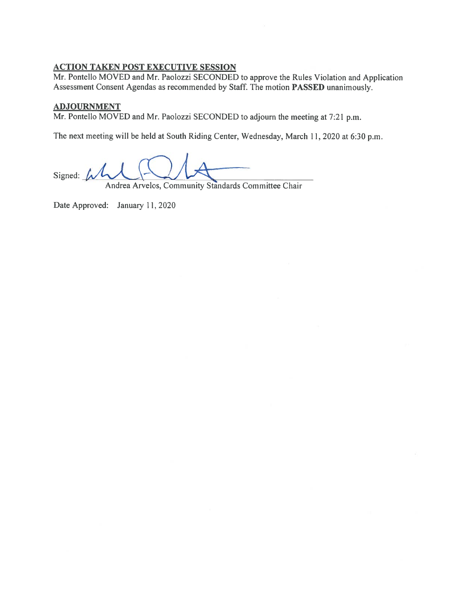# **ACTION TAKEN POST EXECUTIVE SESSION**

Mr. Pontello MOVED and Mr. Paolozzi SECONDED to approve the Rules Violation and Application Assessment Consent Agendas as recommended by Staff. The motion PASSED unanimously.

#### **ADJOURNMENT**

Mr. Pontello MOVED and Mr. Paolozzi SECONDED to adjourn the meeting at 7:21 p.m.

The next meeting will be held at South Riding Center, Wednesday, March 11, 2020 at 6:30 p.m.

Signed:  $\mu\ell$ 

Andrea Arvelos, Community Standards Committee Chair

Date Approved: January 11, 2020